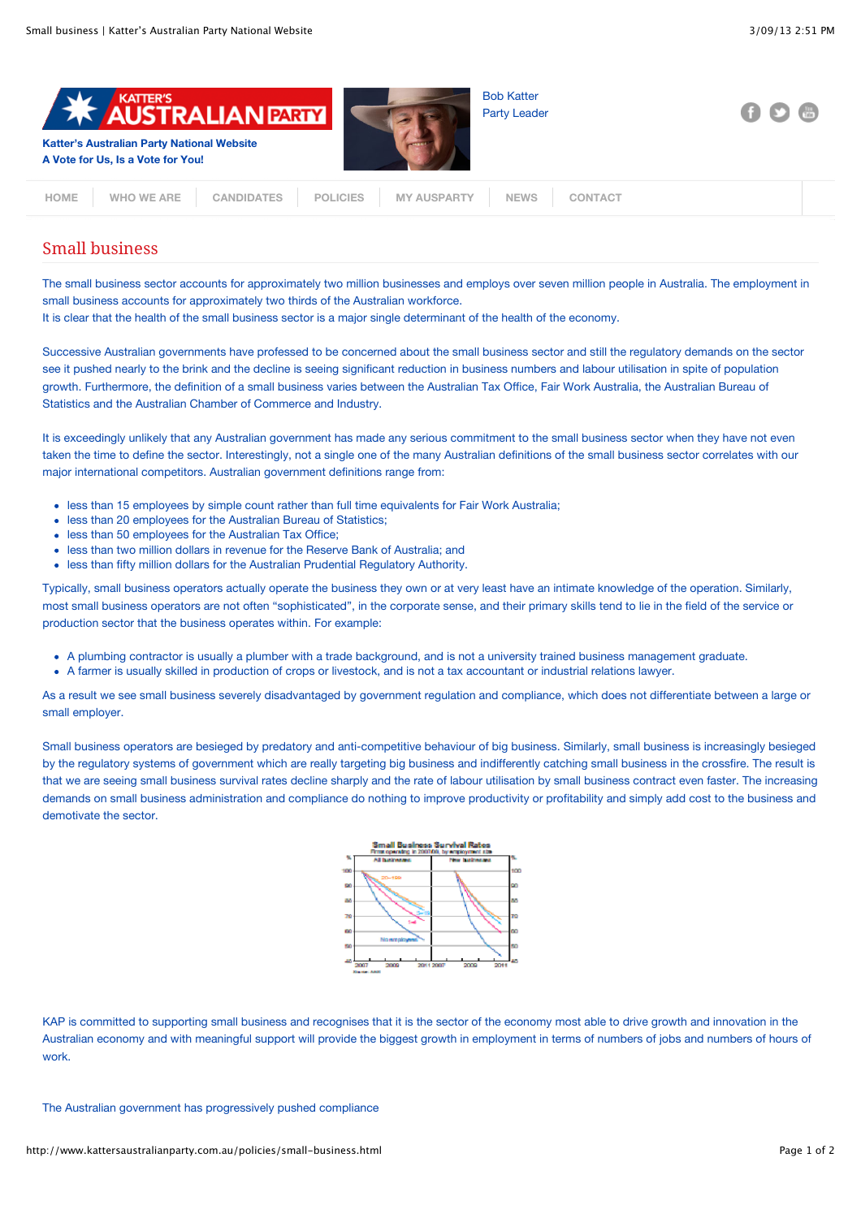

| WHO WE ARE   CANDIDATES   POLICIES   MY AUSPARTY   NEWS   CONTACT |
|-------------------------------------------------------------------|
|-------------------------------------------------------------------|

## Small business

The small business sector accounts for approximately two million businesses and employs over seven million people in Australia. The employment in small business accounts for approximately two thirds of the Australian workforce.

It is clear that the health of the small business sector is a major single determinant of the health of the economy.

Successive Australian governments have professed to be concerned about the small business sector and still the regulatory demands on the sector see it pushed nearly to the brink and the decline is seeing significant reduction in business numbers and labour utilisation in spite of population growth. Furthermore, the definition of a small business varies between the Australian Tax Office, Fair Work Australia, the Australian Bureau of Statistics and the Australian Chamber of Commerce and Industry.

It is exceedingly unlikely that any Australian government has made any serious commitment to the small business sector when they have not even taken the time to define the sector. Interestingly, not a single one of the many Australian definitions of the small business sector correlates with our major international competitors. Australian government definitions range from:

- less than 15 employees by simple count rather than full time equivalents for Fair Work Australia;
- less than 20 employees for the Australian Bureau of Statistics:
- less than 50 employees for the Australian Tax Office;
- less than two million dollars in revenue for the Reserve Bank of Australia; and
- less than fifty million dollars for the Australian Prudential Regulatory Authority.

Typically, small business operators actually operate the business they own or at very least have an intimate knowledge of the operation. Similarly, most small business operators are not often "sophisticated", in the corporate sense, and their primary skills tend to lie in the field of the service or production sector that the business operates within. For example:

- A plumbing contractor is usually a plumber with a trade background, and is not a university trained business management graduate.
- A farmer is usually skilled in production of crops or livestock, and is not a tax accountant or industrial relations lawyer.

As a result we see small business severely disadvantaged by government regulation and compliance, which does not differentiate between a large or small employer.

Small business operators are besieged by predatory and anti-competitive behaviour of big business. Similarly, small business is increasingly besieged by the regulatory systems of government which are really targeting big business and indifferently catching small business in the crossfire. The result is that we are seeing small business survival rates decline sharply and the rate of labour utilisation by small business contract even faster. The increasing demands on small business administration and compliance do nothing to improve productivity or profitability and simply add cost to the business and demotivate the sector.



KAP is committed to supporting small business and recognises that it is the sector of the economy most able to drive growth and innovation in the Australian economy and with meaningful support will provide the biggest growth in employment in terms of numbers of jobs and numbers of hours of work.

The Australian government has progressively pushed compliance